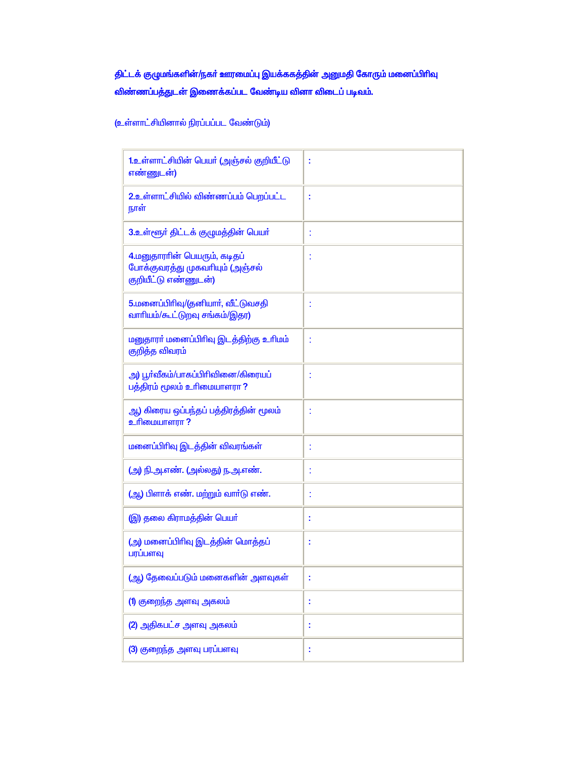## திட்டக் குழுமங்களின்/நகர் ஊரமைப்பு இயக்ககத்தின் அனுமதி கோரும் மனைப்பிரிவு விண்ணப்பத்துடன் இணைக்கப்பட வேண்டிய வினா விடைப் படிவம்.

(உள்ளாட்சியினால் நிரப்பப்பட வேண்டும்)

| 1.உள்ளாட்சியின் பெயர் (அஞ்சல் குறியீட்டு<br>எண்ணுடன்)                                   | t  |
|-----------------------------------------------------------------------------------------|----|
| 2.உள்ளாட்சியில் விண்ணப்பம் பெறப்பட்ட<br>நாள்                                            | t  |
| 3.உள்ளூர் திட்டக் குழுமத்தின் பெயர்                                                     |    |
| 4.மனுதாராின் பெயரும், கடிதப்<br>போக்குவரத்து முகவரியும் (அஞ்சல்<br>குறியீட்டு எண்ணுடன்) |    |
| 5.மனைப்பிரிவு/(தனியார், வீட்டுவசதி<br>வாரியம்/கூட்டுறவு சங்கம்/இதர)                     | t  |
| மனுதாரா் மனைப்பிரிவு இடத்திற்கு உரிமம்<br>குறித்த விவரம்                                | Ì  |
| அ) பூா்வீகம்/பாகப்பிரிவினை/கிரையப்<br>பத்திரம் மூலம் உரிமையாளரா ?                       | Ì  |
| ஆ) கிரைய ஒ <mark>ப்பந்தப் பத்திரத்தின்</mark> மூலம்<br>உரிமையாளரா ?                     | Ì  |
| மனைப்பிரிவு இடத்தின் விவரங்கள்                                                          | t  |
| (அ) நி.அ.எண். (அல்லது) ந.அ.எண்.                                                         |    |
| (ஆ) பிளாக் எண். மற்றும் வார்டு எண்.                                                     |    |
| (இ) தலை கிராமத்தின் பெயர்                                                               | t  |
| (அ) மனைப்பிரிவு இடத்தின் மொத்தப்<br>பரப்பளவு                                            | t  |
| (ஆ) தேவைப்படும் மனைகளின் அளவுகள <mark>்</mark>                                          |    |
| <mark>(1</mark> ) குறைந்த அளவு அகலம்                                                    | I, |
| (2) அதிகபட்ச அளவு அகலம்                                                                 |    |
| (3) குறைந்த அளவு பரப்பளவு                                                               | t  |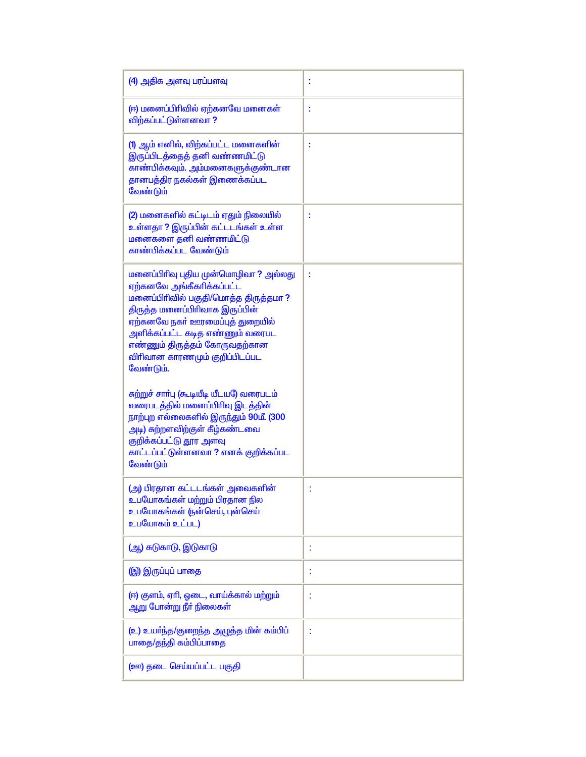| (4) அதிக அளவு பரப்பளவு                                                                                                                                                                                                                                                                               |   |
|------------------------------------------------------------------------------------------------------------------------------------------------------------------------------------------------------------------------------------------------------------------------------------------------------|---|
| (ஈ) மனைப்பிரிவில் ஏற்கனவே மனைகள்<br>விற்கப்பட்டுள்ளனவா ?                                                                                                                                                                                                                                             | I |
| (1) ஆம் எனில், விற்கப்பட்ட மனைகளின்<br>இருப்பிடத்தைத் தனி வண்ணமிட்டு<br>காண்பிக்கவும். அம்மனைகளுக்குண்டான<br>தானபத்திர நகல்கள் இணைக்கப்பட<br><u>வேண்டும்</u>                                                                                                                                         | I |
| (2) மனைகளில் கட்டிடம் ஏதும் நிலையில்<br>உள்ளதா ? இருப்பின் கட்டடங்கள் உள்ள<br><u>மனைகளை தனி வண்ணமிட்டு</u><br>காண்பிக்கப்பட வேண்டும்                                                                                                                                                                 | t |
| மனைப்பிரிவு புதிய முன்மொழிவா ? அல்லது<br>ஏற்கனவே அங்கீகரிக்கப்பட்ட<br>மனைப்பிரிவில் பகுதி/மொத்த திருத்தமா ?<br>திருத்த மனைப்பிரிவாக இருப்பின்<br>ஏற்கனவே நகர் ஊரமைப்புத் துறையில்<br>அளிக்கப்பட்ட கடித எண்ணும் வரைபட<br>எண்ணும் திருத்தம் கோருவதற்கான<br>விரிவான காரணமும் குறிப்பிடப்பட<br>வேண்டும். | ÷ |
| சுற்றுச் சாா்பு (கூடியீடி யீடயடு வரைபடம்<br>வரைபடத்தில் மனைப்பிரிவு இடத்தின்<br>நாற்புற எல்லைகளில் இருந்தும் 90மீ. (300<br>அடி) சுற்றளவிற்குள் கீழ்கண்டவை<br>குறிக்கப்பட்டு தூர அளவு<br>காட்டப்பட்டுள்ளனவா ? எனக் குறிக்கப்பட<br>வேண்டும்                                                            |   |
| (அ) பிரதான கட்டடங்கள் அவைகளின்<br>உபயோகங்கள் மற்றும் பிரதான நில<br>உபயோகங்கள் (நன்செய், புன்செய்<br>உபயோகம் உட்பட)                                                                                                                                                                                   |   |
| (ஆ) சுடுகாடு, இடுகாடு                                                                                                                                                                                                                                                                                | I |
| <b>இ) இருப்புப் பாதை</b>                                                                                                                                                                                                                                                                             | t |
| (ஈ) குளம், ஏாி, ஓடை, வாய்க்கால் மற்றும்<br><u>ஆறு</u> போன்று நீா் நிலைகள்                                                                                                                                                                                                                            | t |
| (உ) உயர்ந்த/குறைந்த அழுத்த மின் கம்பிப்<br>பாதை/தந்தி கம்பிப்பாதை                                                                                                                                                                                                                                    | t |
| (ஊ) தடை செய்யப்பட்ட பகுதி                                                                                                                                                                                                                                                                            |   |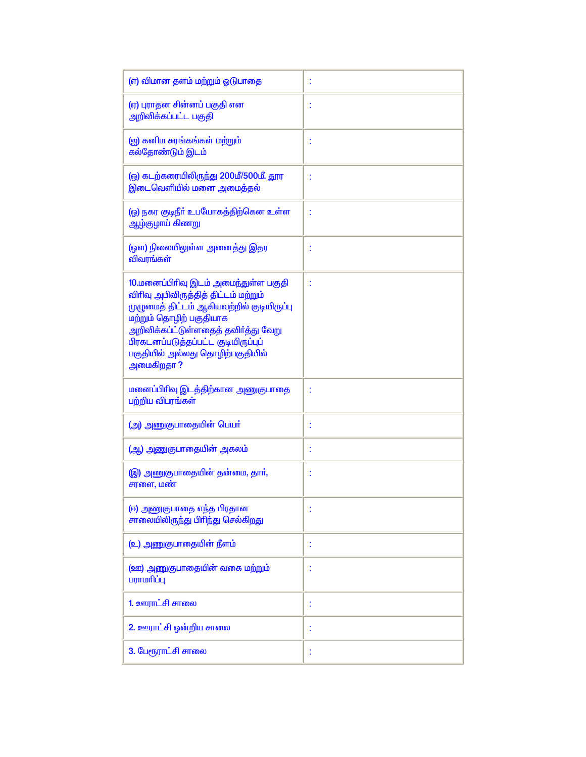| (எ) விமான தளம் மற்றும் ஓடுபாதை                                                                                                                                                                                                                                                       | t |
|--------------------------------------------------------------------------------------------------------------------------------------------------------------------------------------------------------------------------------------------------------------------------------------|---|
| (ஏ) புராதன சின்னப் பகுதி என<br>அறிவிக்கப்பட்ட பகுதி                                                                                                                                                                                                                                  | t |
| (ஐ) கனிம சுரங்கங்கள் மற்றும்<br>கல்தோண்டும் இடம்                                                                                                                                                                                                                                     | t |
| (ஒ) கடற்கரையிலிருந்து 200மீ/500மீ. தூர<br>இடைவெளியில் மனை அமைத்தல்                                                                                                                                                                                                                   | t |
| (ஓ) நகர குடிநீா் உபயோகத்திற்கென உள்ள<br>ஆழ்குழாய் கிணறு                                                                                                                                                                                                                              | t |
| (ஔ) நிலையிலுள்ள அனைத்து இதர<br>விவரங்கள்                                                                                                                                                                                                                                             | t |
| 10.மனைப்பிரிவு இடம் அமைந்துள்ள பகுதி<br>விரிவு அபிவிருத்தித் திட்டம் மற்றும்<br>முழுமைத் திட்டம் ஆகியவற்றில் குடியிருப்பு<br>மற்றும் தொழிற் பகுதியாக<br>அறிவிக்கப்ட்டுள்ளதைத் தவிர்த்து வேறு<br>பிரகடனப்படுத்தப்பட்ட குடியிருப்புப்<br>பகுதியில் அல்லது தொழிற்பகுதியில்<br>அமைகிறதா? |   |
| மனைப்பிரிவு இடத்திற்கான அணுகுபாதை<br>பற்றிய விபரங்கள்                                                                                                                                                                                                                                | t |
| (அ) அணுகுபாதையின் பெயர்                                                                                                                                                                                                                                                              | t |
| (ஆ) அணுகுபாதையின் அகலம்                                                                                                                                                                                                                                                              | t |
| (இ) அணுகுபாதையின் தன்மை, தார்,<br>சரளை, மண்                                                                                                                                                                                                                                          | t |
| (ஈ) அணுகுபாதை எந்த பிரதான<br>சாலையிலிருந்து பிரிந்து செல்கிறது                                                                                                                                                                                                                       | t |
| (உ) அணுகுபாதையின் நீளம்                                                                                                                                                                                                                                                              | t |
| ( <u>ஊ) அணுகுபாதையின் வகை மற்ற</u> ும்<br>பராமரிப்பு                                                                                                                                                                                                                                 | t |
| 1. ஊராட்சி சாலை                                                                                                                                                                                                                                                                      | t |
| 2. ஊராட்சி ஒன்றிய சாலை                                                                                                                                                                                                                                                               |   |
| 3. பேரூராட்சி சாலை                                                                                                                                                                                                                                                                   |   |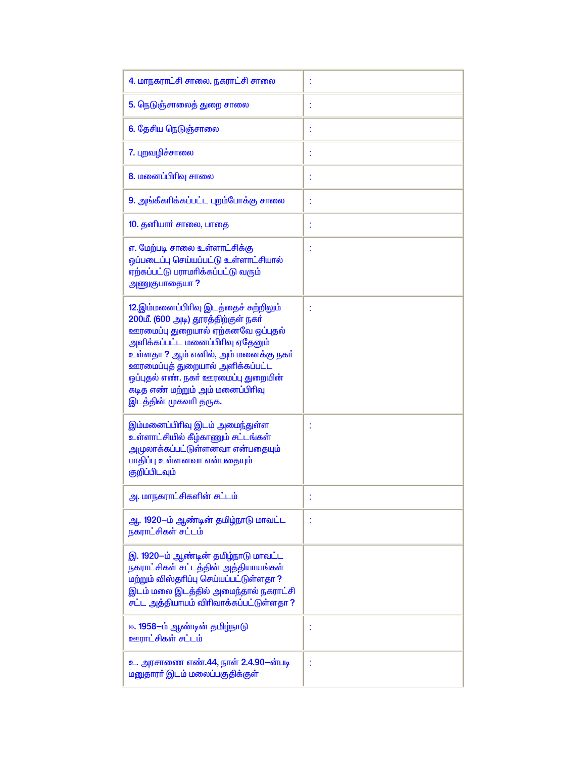| 4. மாநகராட்சி சாலை, நகராட்சி சாலை                                                                                                                                                                                                                                                                                                       |   |
|-----------------------------------------------------------------------------------------------------------------------------------------------------------------------------------------------------------------------------------------------------------------------------------------------------------------------------------------|---|
| 5. நெடுஞ்சாலைத் துறை சாலை                                                                                                                                                                                                                                                                                                               | t |
| 6. தேசிய நெடுஞ்சாலை                                                                                                                                                                                                                                                                                                                     |   |
| 7. புறவழிச்சாலை                                                                                                                                                                                                                                                                                                                         |   |
| 8. மனைப்பிரிவு சாலை                                                                                                                                                                                                                                                                                                                     | t |
| 9. அங்கீகரிக்கப்பட்ட புறம்போக்கு சாலை                                                                                                                                                                                                                                                                                                   | t |
| 10. தனியார் சாலை, பாதை                                                                                                                                                                                                                                                                                                                  | t |
| எ. மேற்படி சாலை உள்ளாட்சிக்கு<br>ஒப்படைப்பு செய்யப்பட்டு உள்ளாட்சியால்<br>ஏற்கப்பட்டு பராமரிக்கப்பட்டு வரும்<br>அணுகுபாதையா?                                                                                                                                                                                                            |   |
| 12.இம்மனைப்பிரிவு இடத்தைச் சுற்றிலும்<br>200மீ. (600 அடி) தூரத்திற்குள் நகர்<br>ஊரமைப்பு துறையால் ஏற்கனவே ஒப்புதல்<br>அளிக்கப்பட்ட மனைப்பிரிவு ஏதேனும்<br>உள்ளதா ? ஆம் எனில், அம் மனைக்கு நகா்<br>ஊரமைப்புத் துறையால் அளிக்கப்பட்ட<br>ஒப்புதல் எண். நகர் ஊரமைப்பு துறையின்<br>கடித எண் மற்றும் அம் மனைப்பிரிவு<br>இடத்தின் முகவரி தருக. |   |
| இம்மனைப்பிரிவு இடம் அமைந்துள்ள<br>உள்ளாட்சியில் கீழ்காணும் சட்டங்கள்<br>அமுலா <mark>க்கப்பட்</mark> டுள்ளனவா என்பதையும்<br>பாதிப்பு உள்ளனவா என்பதையும்<br>குறிப்பிடவும்                                                                                                                                                                 |   |
| <mark>அ. மாநகராட்சிகளின் சட்டம்</mark>                                                                                                                                                                                                                                                                                                  |   |
| ஆ. 1920-ம் ஆண்டின் தமிழ்நாடு மாவட்ட<br>நகராட்சிகள் சட்டம்                                                                                                                                                                                                                                                                               | t |
| இ. 1920-ம் ஆண்டின் தமிழ்நாடு மாவட்ட<br>நகராட்சிகள் சட்டத்தின் அத்தியாயங்கள்<br>மற்றும் விஸ்தரிப்பு செய்யப்பட்டுள்ளதா?<br>இடம் மலை இடத்தில் அமைந்தால் நகராட்சி<br>சட்ட அத்தியாயம் விரிவாக்கப்பட்டுள்ளதா ?                                                                                                                                |   |
| ஈ. 1958–ம் ஆண்டின் தமிழ்நாடு<br>ஊராட்சிகள் சட்டம்                                                                                                                                                                                                                                                                                       |   |
| உ. அரசாணை எண்.44, நாள் 2.4.90-ன்படி<br>மனுதாரா் இடம் மலைப்பகுதிக்குள்                                                                                                                                                                                                                                                                   |   |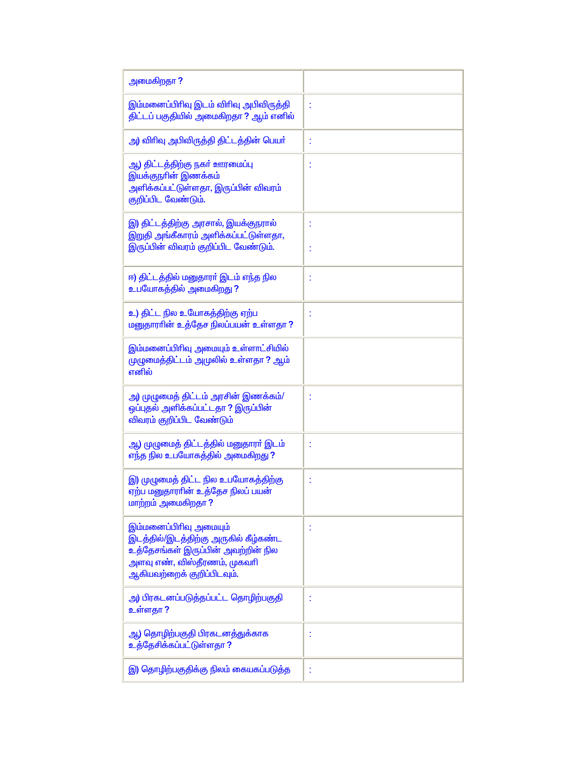| அமைகிறதா ?                                                                                                                                                                      |   |
|---------------------------------------------------------------------------------------------------------------------------------------------------------------------------------|---|
| இம்மனைப்பிரிவு இடம் விரிவு அபிவிருத்தி<br>திட்டப் பகுதியில் அமைகிறதா ? ஆம் எனில்                                                                                                |   |
| அ) விரிவு அபிவிருத்தி திட்டத்தின் பெயர்                                                                                                                                         | t |
| <mark>ஆ) திட்டத்திற்கு நகர் ஊரமைப்ப</mark> ு<br>இயக்குநரின் இணக்கம்<br>அளிக்கப்பட்டுள்ளதா, இருப்பின் விவரம்<br>குறிப்பிட வேண்டும்.                                              | Ì |
| இ) திட்டத்திற்கு அரசால், இயக்குநரால்<br>இறுதி அங்கீகாரம் அளிக்கப்பட்டுள்ளதா,<br>இருப்பின் விவரம் குறிப்பிட வேண்டும்.                                                            |   |
| ஈ) திட்டத்தில் மனுதாரா் இடம் எந்த நில<br>உபயோகத்தில் அமைகிறது ?                                                                                                                 |   |
| உ) திட்ட நில உயோகத்திற்கு ஏற்ப<br>மனுதாராின் உத்தேச நிலப்பயன் உள்ளதா ?                                                                                                          |   |
| இம்மனைப்பிரிவு அமையும் உள்ளாட்சியில்<br>முழுமைத்திட்டம் அமுலில் உள்ளதா ? ஆம்<br>எனில்                                                                                           |   |
| அ) முழுமைத் திட்டம் அரசின் இணக்கம்/<br>ஒப்புதல் அளிக்கப்பட்டதா ? இருப்பின்<br>விவரம் குறிப்பிட வேண்டும்                                                                         |   |
| ஆ) முழுமைத் திட்டத்தில் மனுதாரா் இடம்<br>எந்த நில உபயோகத்தில் அமைகிறது ?                                                                                                        |   |
| இ) முழுமைத் திட்ட நில உபயோகத்திற்கு<br>ஏற்ப மனுதாராின் உத்தேச நிலப் பயன்<br>மாற்றம் அமைகிறதா?                                                                                   | Ì |
| இம்மனைப்பிரிவு அமையும்<br>இடத்தில்/இடத்திற்கு அருகில் கீழ்கண்ட<br><mark>உத்தேசங்கள் இருப்பின் அவற்றின் நில</mark><br>அளவு எண், விஸ்தீரணம், முகவரி<br>ஆகியவற்றைக் குறிப்பிடவும். | t |
| அ) பிரகடனப்படுத்தப்பட்ட தொழிற்பகுதி<br>உள்ளதா ?                                                                                                                                 |   |
| ஆ) தொழிற்பகுதி பிரகடனத்துக்காக<br>உத்தேசிக்கப்பட்டுள்ளதா ?                                                                                                                      |   |
| இ) தொழிற்பகுதிக்கு நிலம் கையகப்படுத்த                                                                                                                                           | I |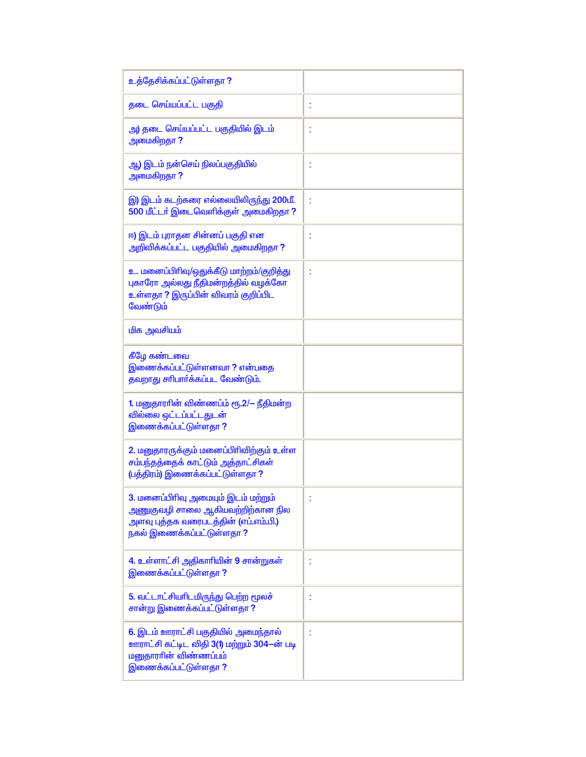| உத்தேசிக்கப்பட்டுள்ளதா ?                                                                                                                                    |   |
|-------------------------------------------------------------------------------------------------------------------------------------------------------------|---|
| தடை செய்யப்பட்ட பகுதி                                                                                                                                       | t |
| அ) தடை செய்யப்பட்ட பகுதியில் இடம்<br>அமைகிறதா?                                                                                                              | t |
| ஆ) இடம் நன்செய் நிலப்பகுதியில்<br>அமைகிறதா?                                                                                                                 | t |
| இ) இடம் கடற்கரை எல்லையிலிருந்து 200மீ.<br>500 மீட்டர் இடைவெளிக்குள் அமைகிறதா?                                                                               | t |
| ஈ) இடம் புராதன சின்னப் பகுதி என<br>அறிவிக்கப்பட்ட பகுதியில் அமைகிறதா?                                                                                       | I |
| உ. மனைப்பிரிவு/ஒதுக்கீடு மாற்றம்/குறித்து<br>புகாரோ அல்லது நீதிமன்றத்தில் வழக்கோ<br><mark>உள்ளதா ? இருப்பின் விவரம் குறிப்பிட</mark><br>வேண்டும்            | t |
| <u>மிக அவசியம்</u>                                                                                                                                          |   |
| கீழே கண்டவ <mark>ை</mark><br><u>இணைக்கப்பட்டுள்ளனவா ? என்பதை</u><br>தவறாது சரிபார்க்கப்பட வேண்டும்.                                                         |   |
| 1. மனுதாராின் விண்ணப்ம் ரூ.2/– நீதிமன்ற<br>வில்லை ஒட்டப்பட்டதுடன்<br>இணைக்கப்பட்டுள்ளதா ?                                                                   |   |
| 2. மனுதாரருக்கும் மனைப்பிரிவிற்கும் உள்ள<br>சம்பந்தத்தைக் காட்டும் அத்தாட்சிகள்<br>(பத்திரம்) இணைக்கப்பட்டுள்ளதா ?                                          |   |
| 3. மனைப்பிரிவு அமையும் இடம் மற்றும்<br>அணுகுவழி சாலை ஆகியவற்றிற்கான நில<br>அளவு புத்தக வரைபடத்தின் (எப்.எம்.பி <mark>.)</mark><br>நகல் இணைக்கப்பட்டுள்ளதா ? |   |
| 4. உள்ளாட்சி அதிகாரியின் 9 சான்றுகள்<br><u>இணைக்கப்பட்டுள்ளதா ?</u>                                                                                         | t |
| <mark>5. வட்டாட்சியரிடமிருந்து பெற்</mark> ற மூலச்<br>சான்று இணைக்கப்பட்டுள்ளதா ?                                                                           | I |
| 6. இடம் ஊராட்சி பகுதியில் அமைந்தால்<br>ஊராட்சி கட்டிட விதி 3(1) மற்றும் 304—ன் படி<br>மனுதாராின் விண்ணப்பம்<br>இணைக்கப்பட்டுள்ளதா <mark>?</mark>            | I |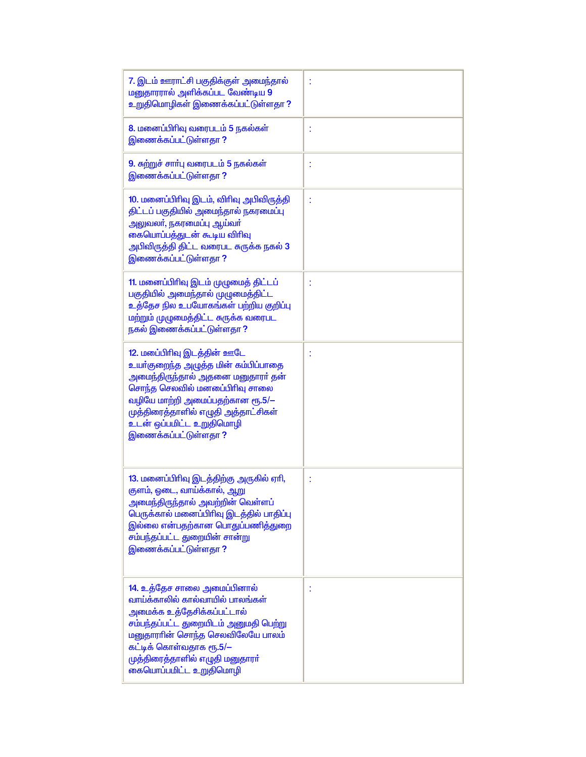| 7. இடம் ஊராட்சி பகுதிக்குள் அமைந்தால்<br>மனுதாரரால் அளிக்கப்பட வேண்டிய 9<br>உறுதிமொழிகள் இணைக்கப்பட்டுள்ளதா ?                                                                                                                                                                                |   |
|----------------------------------------------------------------------------------------------------------------------------------------------------------------------------------------------------------------------------------------------------------------------------------------------|---|
| 8. மனைப்பிரிவு வரைபடம் 5 நகல்கள்<br><u>இணைக்கப்பட்டுள்ளதா ?</u>                                                                                                                                                                                                                              |   |
| 9. சுற்றுச் சாா்பு வரைபடம் 5 நகல்கள்<br><u>இணைக்கப்பட்டுள்ளதா ?</u>                                                                                                                                                                                                                          | t |
| 10. மனைப்பிரிவு இடம், விரிவு அபிவிருத்தி<br>திட்டப் பகுதியில் அமைந்தால் நகரமைப்பு<br><u>அலுவலா், நகரமைப்பு ஆய்வா்</u><br>கையொப்பத்துடன் கூடிய விரிவு<br>அபிவிருத்தி திட்ட வரைபட சுருக்க நகல <mark>் 3</mark><br><u>இணைக்கப்பட்டுள்ளதா ?</u>                                                  |   |
| 11. மனைப்பிரிவு இடம் முழுமைத் திட்டப்<br>பகுதியில் அமைந்தால் முழுமைத்திட்ட<br>உத்தேச நில உபயோகங்கள் பற்றிய குறிப்பு<br>மற்றும் முழுமைத்திட்ட சுருக்க வரைபட<br>நகல் இணைக்கப்பட்டுள்ளதா ?                                                                                                      |   |
| 12. மபை்பிரிவு இடத்தின் ஊடே<br><mark>உயர்குறைந்த அழுத்த மின் கம்பிப்பாதை</mark><br>அமைந்திருந்தால் அதனை மனுதாரா் தன்<br>சொந்த செலவில் மனபை்பிரிவு சாலை<br>வழியே மாற்றி அமைப்பதற்கான ரூ.5/-<br>முத்திரைத்தாளில் எழுதி அத்தாட்சிகள்<br>உடன் ஒப்பமிட்ட உறுதிமொழி<br><u>இணைக்கப்பட்டுள்ளதா ?</u> |   |
| 13. மனைப்பிரிவு இடத்திற்கு அருகில் ஏரி,<br>குளம், ஓடை, வாய்க்கால், ஆறு<br>அமைந்திருந்தால் அவற்றின் வெள்ளப்<br>பெருக்கால் மனைப்பிரிவு இடத்தில் பாதிப்பு<br>இல்லை என்பதற்கான பொதுப்பணித்துறை<br>சம்பந்தப்பட்ட துறையின் சான்று<br>இணைக்கப்பட்டுள்ளதா ?                                          | t |
| 14. உத்தேச சாலை அமைப்பினால்<br>வாய்க்காலில் கால்வாயில் பாலங்கள்<br>அமைக்க உத்தேசிக்கப்பட்டால்<br>சம்பந்தப்பட்ட துறையிடம் அனுமதி பெற்று<br>மனுதாராின் சொந்த செலவிலேயே பாலம்<br>கட்டிக் கொள்வதாக ரூ.5/ $-$<br>முத்திரைத்தாளில் எழுதி மனுதாரா்<br>கையொப்பமிட்ட உறுதிமொழி                        | t |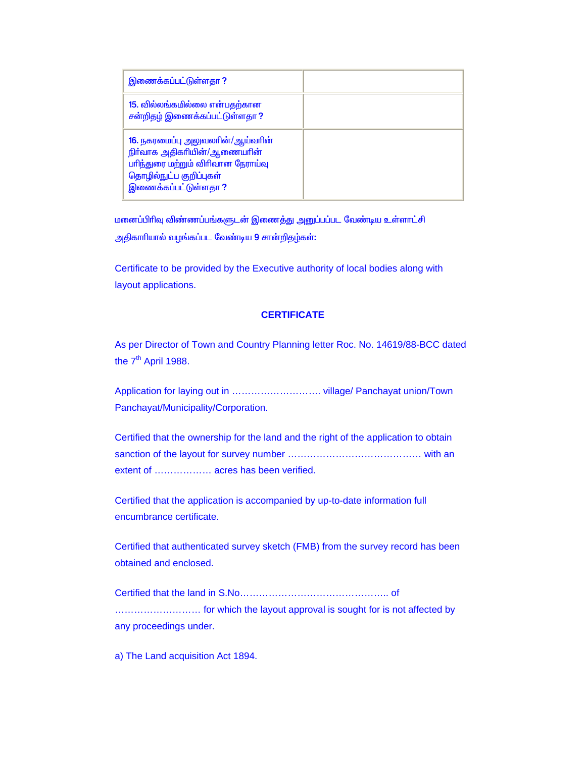| இணைக்கப்பட்டுள்ளதா ?                                                                                                                                     |  |
|----------------------------------------------------------------------------------------------------------------------------------------------------------|--|
| 15. வில்லங்கமில்லை என்பதற்கான<br>சன்றிதழ் இணைக்கப்பட்டுள்ளதா?                                                                                            |  |
| 16. நகரமைப்பு அலுவலாின்/ஆய்வாின்<br>நிர்வாக அதிகரியின்/ஆணையரின்<br>பரிந்துரை மற்றும் விரிவான நேராய்வு<br>தொழில்நுட்ப குறிப்புகள்<br>இணைக்கப்பட்டுள்ளதா ? |  |

<u>மனைப்பிரிவு விண்ணப்பங்களுடன் இணைத்து அனுப்பப்பட வேண்டிய உள்ளாட்சி</u> அதிகாரியால் வழங்கப்பட வேண்டிய 9 சான்றிதழ்கள்:

Certificate to be provided by the Executive authority of local bodies along with layout applications.

## **CERTIFICATE**

As per Director of Town and Country Planning letter Roc. No. 14619/88-BCC dated the  $7<sup>th</sup>$  April 1988.

Application for laying out in ………………………. village/ Panchayat union/Town Panchayat/Municipality/Corporation.

Certified that the ownership for the land and the right of the application to obtain sanction of the layout for survey number …………………………………… with an extent of ……………… acres has been verified.

Certified that the application is accompanied by up-to-date information full encumbrance certificate.

Certified that authenticated survey sketch (FMB) from the survey record has been obtained and enclosed.

Certified that the land in S.No……………………………………….. of ……………………… for which the layout approval is sought for is not affected by any proceedings under.

a) The Land acquisition Act 1894.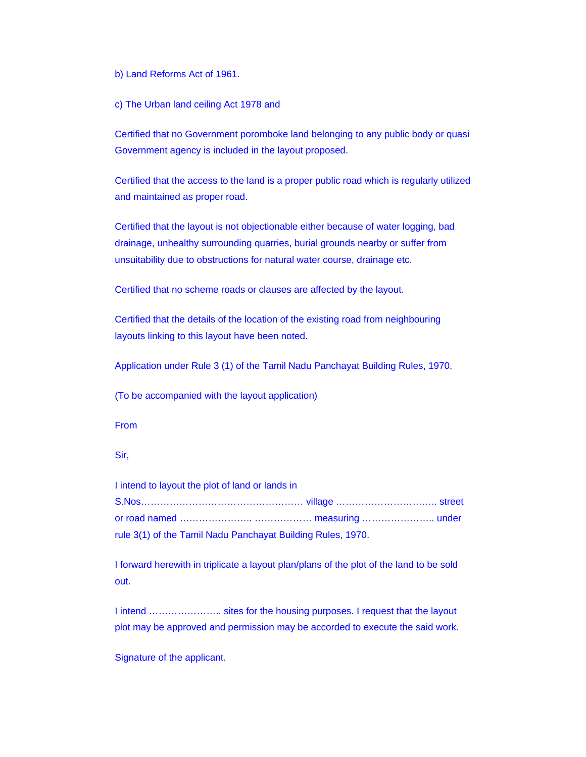b) Land Reforms Act of 1961.

c) The Urban land ceiling Act 1978 and

Certified that no Government poromboke land belonging to any public body or quasi Government agency is included in the layout proposed.

Certified that the access to the land is a proper public road which is regularly utilized and maintained as proper road.

Certified that the layout is not objectionable either because of water logging, bad drainage, unhealthy surrounding quarries, burial grounds nearby or suffer from unsuitability due to obstructions for natural water course, drainage etc.

Certified that no scheme roads or clauses are affected by the layout.

Certified that the details of the location of the existing road from neighbouring layouts linking to this layout have been noted.

Application under Rule 3 (1) of the Tamil Nadu Panchayat Building Rules, 1970.

(To be accompanied with the layout application)

From

Sir,

I intend to layout the plot of land or lands in S.Nos…………………………………………… village ………………………….. street

or road named ………………….. ……………… measuring ………………….. under rule 3(1) of the Tamil Nadu Panchayat Building Rules, 1970.

I forward herewith in triplicate a layout plan/plans of the plot of the land to be sold out.

I intend ........................... sites for the housing purposes. I request that the layout plot may be approved and permission may be accorded to execute the said work.

Signature of the applicant.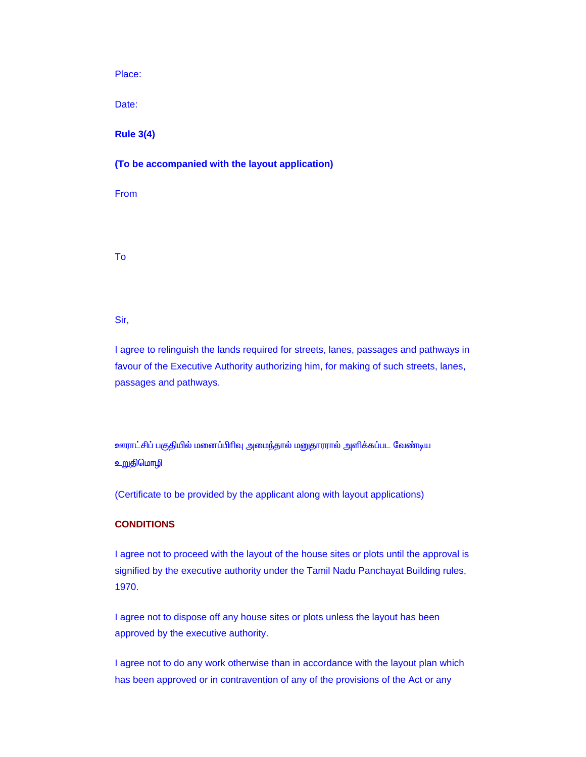Place:

Date:

**Rule 3(4)**

**(To be accompanied with the layout application)**

From

To

Sir,

I agree to relinguish the lands required for streets, lanes, passages and pathways in favour of the Executive Authority authorizing him, for making of such streets, lanes, passages and pathways.

<u>ஊராட்சிப் பகுதியில் மனைப்பிரிவு அமைந்</u>தால் மனுதாரரால் அளிக்கப்பட வேண்டிய <mark>உறுதிமொழி</mark>

(Certificate to be provided by the applicant along with layout applications)

## **CONDITIONS**

I agree not to proceed with the layout of the house sites or plots until the approval is signified by the executive authority under the Tamil Nadu Panchayat Building rules, 1970.

I agree not to dispose off any house sites or plots unless the layout has been approved by the executive authority.

I agree not to do any work otherwise than in accordance with the layout plan which has been approved or in contravention of any of the provisions of the Act or any